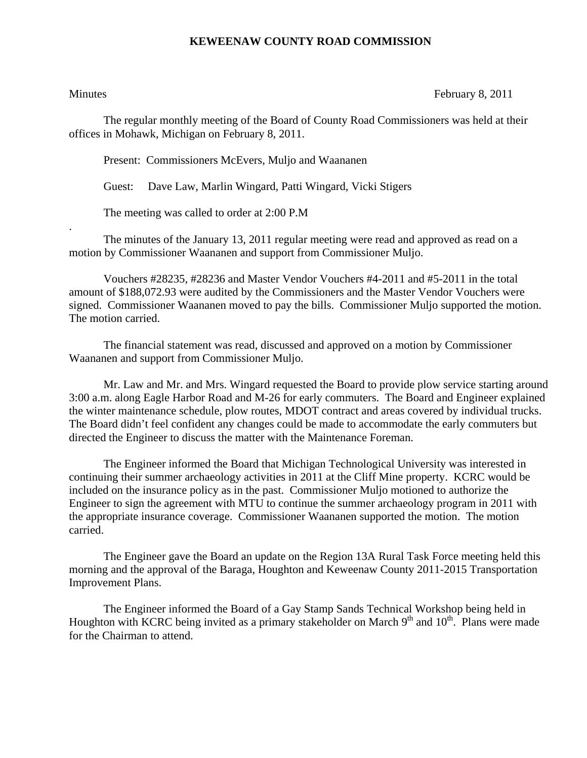## **KEWEENAW COUNTY ROAD COMMISSION**

.

Minutes February 8, 2011

The regular monthly meeting of the Board of County Road Commissioners was held at their offices in Mohawk, Michigan on February 8, 2011.

Present: Commissioners McEvers, Muljo and Waananen

Guest: Dave Law, Marlin Wingard, Patti Wingard, Vicki Stigers

The meeting was called to order at 2:00 P.M

 The minutes of the January 13, 2011 regular meeting were read and approved as read on a motion by Commissioner Waananen and support from Commissioner Muljo.

 Vouchers #28235, #28236 and Master Vendor Vouchers #4-2011 and #5-2011 in the total amount of \$188,072.93 were audited by the Commissioners and the Master Vendor Vouchers were signed. Commissioner Waananen moved to pay the bills. Commissioner Muljo supported the motion. The motion carried.

 The financial statement was read, discussed and approved on a motion by Commissioner Waananen and support from Commissioner Muljo.

 Mr. Law and Mr. and Mrs. Wingard requested the Board to provide plow service starting around 3:00 a.m. along Eagle Harbor Road and M-26 for early commuters. The Board and Engineer explained the winter maintenance schedule, plow routes, MDOT contract and areas covered by individual trucks. The Board didn't feel confident any changes could be made to accommodate the early commuters but directed the Engineer to discuss the matter with the Maintenance Foreman.

 The Engineer informed the Board that Michigan Technological University was interested in continuing their summer archaeology activities in 2011 at the Cliff Mine property. KCRC would be included on the insurance policy as in the past. Commissioner Muljo motioned to authorize the Engineer to sign the agreement with MTU to continue the summer archaeology program in 2011 with the appropriate insurance coverage. Commissioner Waananen supported the motion. The motion carried.

 The Engineer gave the Board an update on the Region 13A Rural Task Force meeting held this morning and the approval of the Baraga, Houghton and Keweenaw County 2011-2015 Transportation Improvement Plans.

 The Engineer informed the Board of a Gay Stamp Sands Technical Workshop being held in Houghton with KCRC being invited as a primary stakeholder on March 9<sup>th</sup> and 10<sup>th</sup>. Plans were made for the Chairman to attend.